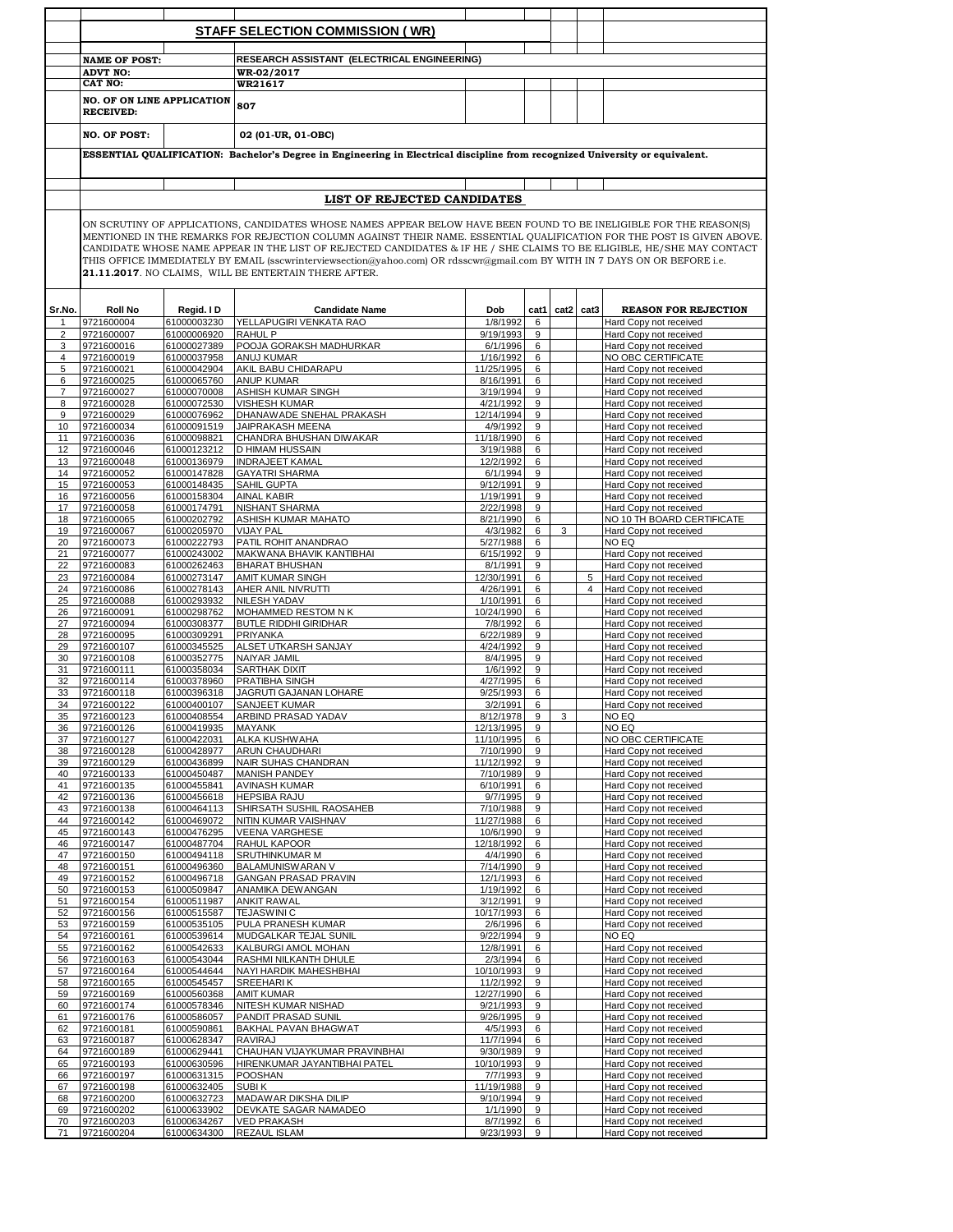|          |                                                                                                                                                                                      |                            | <b>STAFF SELECTION COMMISSION (WR)</b>                                                                                                                                                                                                                                                                                                                                  |                         |                      |      |      |                                                  |
|----------|--------------------------------------------------------------------------------------------------------------------------------------------------------------------------------------|----------------------------|-------------------------------------------------------------------------------------------------------------------------------------------------------------------------------------------------------------------------------------------------------------------------------------------------------------------------------------------------------------------------|-------------------------|----------------------|------|------|--------------------------------------------------|
|          |                                                                                                                                                                                      |                            |                                                                                                                                                                                                                                                                                                                                                                         |                         |                      |      |      |                                                  |
|          | <b>NAME OF POST:</b>                                                                                                                                                                 |                            | RESEARCH ASSISTANT (ELECTRICAL ENGINEERING)                                                                                                                                                                                                                                                                                                                             |                         |                      |      |      |                                                  |
|          | <b>ADVT NO:</b>                                                                                                                                                                      |                            | WR-02/2017                                                                                                                                                                                                                                                                                                                                                              |                         |                      |      |      |                                                  |
|          | CAT NO:                                                                                                                                                                              |                            | WR21617                                                                                                                                                                                                                                                                                                                                                                 |                         |                      |      |      |                                                  |
|          | <b>NO. OF ON LINE APPLICATION</b><br><b>RECEIVED:</b>                                                                                                                                |                            | 807                                                                                                                                                                                                                                                                                                                                                                     |                         |                      |      |      |                                                  |
|          | <b>NO. OF POST:</b>                                                                                                                                                                  |                            | 02 (01-UR, 01-OBC)                                                                                                                                                                                                                                                                                                                                                      |                         |                      |      |      |                                                  |
|          |                                                                                                                                                                                      |                            | ESSENTIAL QUALIFICATION: Bachelor's Degree in Engineering in Electrical discipline from recognized University or equivalent.                                                                                                                                                                                                                                            |                         |                      |      |      |                                                  |
|          |                                                                                                                                                                                      |                            |                                                                                                                                                                                                                                                                                                                                                                         |                         |                      |      |      |                                                  |
|          |                                                                                                                                                                                      |                            | LIST OF REJECTED CANDIDATES                                                                                                                                                                                                                                                                                                                                             |                         |                      |      |      |                                                  |
|          |                                                                                                                                                                                      |                            | ON SCRUTINY OF APPLICATIONS, CANDIDATES WHOSE NAMES APPEAR BELOW HAVE BEEN FOUND TO BE INELIGIBLE FOR THE REASON(S)<br>MENTIONED IN THE REMARKS FOR REJECTION COLUMN AGAINST THEIR NAME. ESSENTIAL QUALIFICATION FOR THE POST IS GIVEN ABOVE.<br>CANDIDATE WHOSE NAME APPEAR IN THE LIST OF REJECTED CANDIDATES & IF HE / SHE CLAIMS TO BE ELIGIBLE, HE/SHE MAY CONTACT |                         |                      |      |      |                                                  |
|          | THIS OFFICE IMMEDIATELY BY EMAIL (sscwrinterviewsection@yahoo.com) OR rdsscwr@gmail.com BY WITH IN 7 DAYS ON OR BEFORE i.e.<br>21.11.2017. NO CLAIMS, WILL BE ENTERTAIN THERE AFTER. |                            |                                                                                                                                                                                                                                                                                                                                                                         |                         |                      |      |      |                                                  |
| Sr.No.   | <b>Roll No</b>                                                                                                                                                                       | Reaid. ID                  | <b>Candidate Name</b>                                                                                                                                                                                                                                                                                                                                                   | Dob                     | cat1                 | cat2 | cat3 | <b>REASON FOR REJECTION</b>                      |
| 1        | 9721600004                                                                                                                                                                           | 61000003230                | YELLAPUGIRI VENKATA RAO                                                                                                                                                                                                                                                                                                                                                 | 1/8/1992                | $6\phantom{1}6$      |      |      | Hard Copy not received                           |
| 2        | 9721600007                                                                                                                                                                           | 61000006920                | RAHUL P                                                                                                                                                                                                                                                                                                                                                                 | 9/19/1993               | 9                    |      |      | Hard Copy not received                           |
| 3<br>4   | 9721600016<br>9721600019                                                                                                                                                             | 61000027389<br>61000037958 | POOJA GORAKSH MADHURKAR<br>ANUJ KUMAR                                                                                                                                                                                                                                                                                                                                   | 6/1/1996<br>1/16/1992   | 6<br>6               |      |      | Hard Copy not received<br>NO OBC CERTIFICATE     |
| 5        | 9721600021                                                                                                                                                                           | 61000042904                | AKIL BABU CHIDARAPU                                                                                                                                                                                                                                                                                                                                                     | 11/25/1995              | 6                    |      |      | Hard Copy not received                           |
| 6        | 9721600025                                                                                                                                                                           | 61000065760                | <b>ANUP KUMAR</b>                                                                                                                                                                                                                                                                                                                                                       | 8/16/1991               | 6                    |      |      | Hard Copy not received                           |
| 7        | 9721600027                                                                                                                                                                           | 61000070008                | ASHISH KUMAR SINGH                                                                                                                                                                                                                                                                                                                                                      | 3/19/1994               | 9                    |      |      | Hard Copy not received                           |
| 8        | 9721600028                                                                                                                                                                           | 61000072530                | <b>VISHESH KUMAR</b>                                                                                                                                                                                                                                                                                                                                                    | 4/21/1992               | 9                    |      |      | Hard Copy not received                           |
| 9        | 9721600029                                                                                                                                                                           | 61000076962                | DHANAWADE SNEHAL PRAKASH                                                                                                                                                                                                                                                                                                                                                | 12/14/1994              | 9                    |      |      | Hard Copy not received                           |
| 10       | 9721600034                                                                                                                                                                           | 61000091519                | JAIPRAKASH MEENA                                                                                                                                                                                                                                                                                                                                                        | 4/9/1992                | 9                    |      |      | Hard Copy not received                           |
| 11<br>12 | 9721600036<br>9721600046                                                                                                                                                             | 61000098821<br>61000123212 | CHANDRA BHUSHAN DIWAKAR<br>D HIMAM HUSSAIN                                                                                                                                                                                                                                                                                                                              | 11/18/1990<br>3/19/1988 | 6<br>6               |      |      | Hard Copy not received<br>Hard Copy not received |
| 13       | 9721600048                                                                                                                                                                           | 61000136979                | <b>INDRAJEET KAMAL</b>                                                                                                                                                                                                                                                                                                                                                  | 12/2/1992               | 6                    |      |      | Hard Copy not received                           |
| 14       | 9721600052                                                                                                                                                                           | 61000147828                | <b>GAYATRI SHARMA</b>                                                                                                                                                                                                                                                                                                                                                   | 6/1/1994                | 9                    |      |      | Hard Copy not received                           |
| 15       | 9721600053                                                                                                                                                                           | 61000148435                | SAHIL GUPTA                                                                                                                                                                                                                                                                                                                                                             | 9/12/1991               | 9                    |      |      | Hard Copy not received                           |
| 16       | 9721600056                                                                                                                                                                           | 61000158304                | <b>AINAL KABIR</b>                                                                                                                                                                                                                                                                                                                                                      | 1/19/1991               | 9                    |      |      | Hard Copy not received                           |
| 17       | 9721600058                                                                                                                                                                           | 61000174791                | NISHANT SHARMA                                                                                                                                                                                                                                                                                                                                                          | 2/22/1998               | 9                    |      |      | Hard Copy not received                           |
| 18       | 9721600065                                                                                                                                                                           | 61000202792                | ASHISH KUMAR MAHATO                                                                                                                                                                                                                                                                                                                                                     | 8/21/1990               | 6                    |      |      | NO 10 TH BOARD CERTIFICATE                       |
| 19<br>20 | 9721600067<br>9721600073                                                                                                                                                             | 61000205970<br>61000222793 | <b>VIJAY PAL</b><br>PATIL ROHIT ANANDRAO                                                                                                                                                                                                                                                                                                                                | 4/3/1982<br>5/27/1988   | 6<br>6               | 3    |      | Hard Copy not received<br>NO EQ                  |
| 21       | 9721600077                                                                                                                                                                           | 61000243002                | MAKWANA BHAVIK KANTIBHAI                                                                                                                                                                                                                                                                                                                                                | 6/15/1992               | 9                    |      |      | Hard Copy not received                           |
| 22       | 9721600083                                                                                                                                                                           | 61000262463                | <b>BHARAT BHUSHAN</b>                                                                                                                                                                                                                                                                                                                                                   | 8/1/1991                | 9                    |      |      | Hard Copy not received                           |
| 23       | 9721600084                                                                                                                                                                           | 61000273147                | <b>AMIT KUMAR SINGH</b>                                                                                                                                                                                                                                                                                                                                                 | 12/30/1991              | 6                    |      | 5    | Hard Copy not received                           |
| 24       | 9721600086                                                                                                                                                                           | 61000278143                | AHER ANIL NIVRUTTI                                                                                                                                                                                                                                                                                                                                                      | 4/26/1991               | 6                    |      | 4    | Hard Copy not received                           |
| 25<br>26 | 9721600088<br>9721600091                                                                                                                                                             | 61000293932<br>61000298762 | NILESH YADAV<br>MOHAMMED RESTOM N K                                                                                                                                                                                                                                                                                                                                     | 1/10/1991<br>10/24/1990 | 6<br>6               |      |      | Hard Copy not received<br>Hard Copy not received |
| 27       | 9721600094                                                                                                                                                                           | 61000308377                | <b>BUTLE RIDDHI GIRIDHAR</b>                                                                                                                                                                                                                                                                                                                                            | 7/8/1992                | 6                    |      |      | Hard Copy not received                           |
| 28       | 9721600095                                                                                                                                                                           | 61000309291                | <b>PRIYANKA</b>                                                                                                                                                                                                                                                                                                                                                         | 6/22/1989               | 9                    |      |      | Hard Copy not received                           |
| 29       | 9721600107                                                                                                                                                                           | 61000345525                | <b>ALSET UTKARSH SANJAY</b>                                                                                                                                                                                                                                                                                                                                             | 4/24/1992               | 9                    |      |      | Hard Copy not received                           |
| 30       | 9721600108                                                                                                                                                                           | 61000352775                | NAIYAR JAMIL                                                                                                                                                                                                                                                                                                                                                            | 8/4/1995                | 9                    |      |      | Hard Copy not received                           |
| 31       | 9721600111                                                                                                                                                                           | 61000358034                | <b>SARTHAK DIXIT</b>                                                                                                                                                                                                                                                                                                                                                    | 1/6/1992                | 9                    |      |      | Hard Copy not received                           |
| 32       | 9721600114                                                                                                                                                                           | 61000378960                | PRATIBHA SINGH                                                                                                                                                                                                                                                                                                                                                          | 4/27/1995               | 6                    |      |      | Hard Copy not received                           |
| 33<br>34 | 9721600118<br>9721600122                                                                                                                                                             | 61000396318<br>61000400107 | JAGRUTI GAJANAN LOHARE<br>SANJEET KUMAR                                                                                                                                                                                                                                                                                                                                 | 9/25/1993<br>3/2/1991   | 6<br>$6\phantom{1}6$ |      |      | Hard Copy not received<br>Hard Copy not received |
| 35       | 9721600123                                                                                                                                                                           | 61000408554                | ARBIND PRASAD YADAV                                                                                                                                                                                                                                                                                                                                                     | 8/12/1978               | 9                    | 3    |      | NO EQ                                            |
| 36       | 9721600126                                                                                                                                                                           | 61000419935                | <b>MAYANK</b>                                                                                                                                                                                                                                                                                                                                                           | 12/13/1995              | 9                    |      |      | NO EQ                                            |
| 37       | 9721600127                                                                                                                                                                           | 61000422031                | ALKA KUSHWAHA                                                                                                                                                                                                                                                                                                                                                           | 11/10/1995              | 6                    |      |      | NO OBC CERTIFICATE                               |
| 38       | 9721600128                                                                                                                                                                           | 61000428977                | ARUN CHAUDHARI                                                                                                                                                                                                                                                                                                                                                          | 7/10/1990               | 9                    |      |      | Hard Copy not received                           |
| 39       | 9721600129                                                                                                                                                                           | 61000436899                | NAIR SUHAS CHANDRAN                                                                                                                                                                                                                                                                                                                                                     | 11/12/1992              | 9                    |      |      | Hard Copy not received                           |
| 40<br>41 | 9721600133<br>9721600135                                                                                                                                                             | 61000450487<br>61000455841 | <b>MANISH PANDEY</b><br>AVINASH KUMAR                                                                                                                                                                                                                                                                                                                                   | 7/10/1989<br>6/10/1991  | 9<br>6               |      |      | Hard Copy not received<br>Hard Copy not received |
| 42       | 9721600136                                                                                                                                                                           | 61000456618                | <b>HEPSIBA RAJU</b>                                                                                                                                                                                                                                                                                                                                                     | 9/7/1995                | 9                    |      |      | Hard Copy not received                           |
| 43       | 9721600138                                                                                                                                                                           | 61000464113                | SHIRSATH SUSHIL RAOSAHEB                                                                                                                                                                                                                                                                                                                                                | 7/10/1988               | 9                    |      |      | Hard Copy not received                           |
| 44       | 9721600142                                                                                                                                                                           | 61000469072                | NITIN KUMAR VAISHNAV                                                                                                                                                                                                                                                                                                                                                    | 11/27/1988              | 6                    |      |      | Hard Copy not received                           |
| 45       | 9721600143                                                                                                                                                                           | 61000476295                | <b>VEENA VARGHESE</b>                                                                                                                                                                                                                                                                                                                                                   | 10/6/1990               | 9                    |      |      | Hard Copy not received                           |
| 46       | 9721600147<br>9721600150                                                                                                                                                             | 61000487704                | RAHUL KAPOOR                                                                                                                                                                                                                                                                                                                                                            | 12/18/1992              | 6                    |      |      | Hard Copy not received                           |
| 47<br>48 | 9721600151                                                                                                                                                                           | 61000494118<br>61000496360 | SRUTHINKUMAR M<br>BALAMUNISWARAN V                                                                                                                                                                                                                                                                                                                                      | 4/4/1990<br>7/14/1990   | 6<br>9               |      |      | Hard Copy not received<br>Hard Copy not received |
| 49       | 9721600152                                                                                                                                                                           | 61000496718                | <b>GANGAN PRASAD PRAVIN</b>                                                                                                                                                                                                                                                                                                                                             | 12/1/1993               | 6                    |      |      | Hard Copy not received                           |
| 50       | 9721600153                                                                                                                                                                           | 61000509847                | ANAMIKA DEWANGAN                                                                                                                                                                                                                                                                                                                                                        | 1/19/1992               | 6                    |      |      | Hard Copy not received                           |
| 51       | 9721600154                                                                                                                                                                           | 61000511987                | <b>ANKIT RAWAL</b>                                                                                                                                                                                                                                                                                                                                                      | 3/12/1991               | 9                    |      |      | Hard Copy not received                           |
| 52       | 9721600156                                                                                                                                                                           | 61000515587                | <b>TEJASWINI C</b>                                                                                                                                                                                                                                                                                                                                                      | 10/17/1993              | 6                    |      |      | Hard Copy not received                           |
| 53       | 9721600159                                                                                                                                                                           | 61000535105                | PULA PRANESH KUMAR                                                                                                                                                                                                                                                                                                                                                      | 2/6/1996<br>9/22/1994   | 6                    |      |      | Hard Copy not received<br>NO EQ                  |
| 54<br>55 | 9721600161<br>9721600162                                                                                                                                                             | 61000539614<br>61000542633 | MUDGALKAR TEJAL SUNIL<br>KALBURGI AMOL MOHAN                                                                                                                                                                                                                                                                                                                            | 12/8/1991               | 9<br>6               |      |      | Hard Copy not received                           |
| 56       | 9721600163                                                                                                                                                                           | 61000543044                | RASHMI NILKANTH DHULE                                                                                                                                                                                                                                                                                                                                                   | 2/3/1994                | 6                    |      |      | Hard Copy not received                           |
| 57       | 9721600164                                                                                                                                                                           | 61000544644                | NAYI HARDIK MAHESHBHAI                                                                                                                                                                                                                                                                                                                                                  | 10/10/1993              | 9                    |      |      | Hard Copy not received                           |
| 58       | 9721600165                                                                                                                                                                           | 61000545457                | <b>SREEHARIK</b>                                                                                                                                                                                                                                                                                                                                                        | 11/2/1992               | 9                    |      |      | Hard Copy not received                           |
| 59       | 9721600169                                                                                                                                                                           | 61000560368                | <b>AMIT KUMAR</b>                                                                                                                                                                                                                                                                                                                                                       | 12/27/1990              | 6                    |      |      | Hard Copy not received                           |
| 60       | 9721600174                                                                                                                                                                           | 61000578346                | NITESH KUMAR NISHAD                                                                                                                                                                                                                                                                                                                                                     | 9/21/1993               | 9                    |      |      | Hard Copy not received                           |
| 61       | 9721600176                                                                                                                                                                           | 61000586057                | PANDIT PRASAD SUNIL                                                                                                                                                                                                                                                                                                                                                     | 9/26/1995               | 9                    |      |      | Hard Copy not received                           |
| 62<br>63 | 9721600181<br>9721600187                                                                                                                                                             | 61000590861<br>61000628347 | BAKHAL PAVAN BHAGWAT<br>RAVIRAJ                                                                                                                                                                                                                                                                                                                                         | 4/5/1993<br>11/7/1994   | 6<br>6               |      |      | Hard Copy not received<br>Hard Copy not received |
| 64       | 9721600189                                                                                                                                                                           | 61000629441                | CHAUHAN VIJAYKUMAR PRAVINBHAI                                                                                                                                                                                                                                                                                                                                           | 9/30/1989               | 9                    |      |      | Hard Copy not received                           |
| 65       | 9721600193                                                                                                                                                                           | 61000630596                | HIRENKUMAR JAYANTIBHAI PATEL                                                                                                                                                                                                                                                                                                                                            | 10/10/1993              | 9                    |      |      | Hard Copy not received                           |
| 66       | 9721600197                                                                                                                                                                           | 61000631315                | POOSHAN                                                                                                                                                                                                                                                                                                                                                                 | 7/7/1993                | 9                    |      |      | Hard Copy not received                           |
| 67       | 9721600198                                                                                                                                                                           | 61000632405                | SUBIK                                                                                                                                                                                                                                                                                                                                                                   | 11/19/1988              | 9                    |      |      | Hard Copy not received                           |
| 68       | 9721600200                                                                                                                                                                           | 61000632723                | MADAWAR DIKSHA DILIP                                                                                                                                                                                                                                                                                                                                                    | 9/10/1994               | 9                    |      |      | Hard Copy not received                           |
| 69       | 9721600202                                                                                                                                                                           | 61000633902                | DEVKATE SAGAR NAMADEO                                                                                                                                                                                                                                                                                                                                                   | 1/1/1990                | 9                    |      |      | Hard Copy not received                           |
| 70<br>71 | 9721600203<br>9721600204                                                                                                                                                             | 61000634267<br>61000634300 | <b>VED PRAKASH</b><br>REZAUL ISLAM                                                                                                                                                                                                                                                                                                                                      | 8/7/1992<br>9/23/1993   | 6<br>9               |      |      | Hard Copy not received<br>Hard Copy not received |
|          |                                                                                                                                                                                      |                            |                                                                                                                                                                                                                                                                                                                                                                         |                         |                      |      |      |                                                  |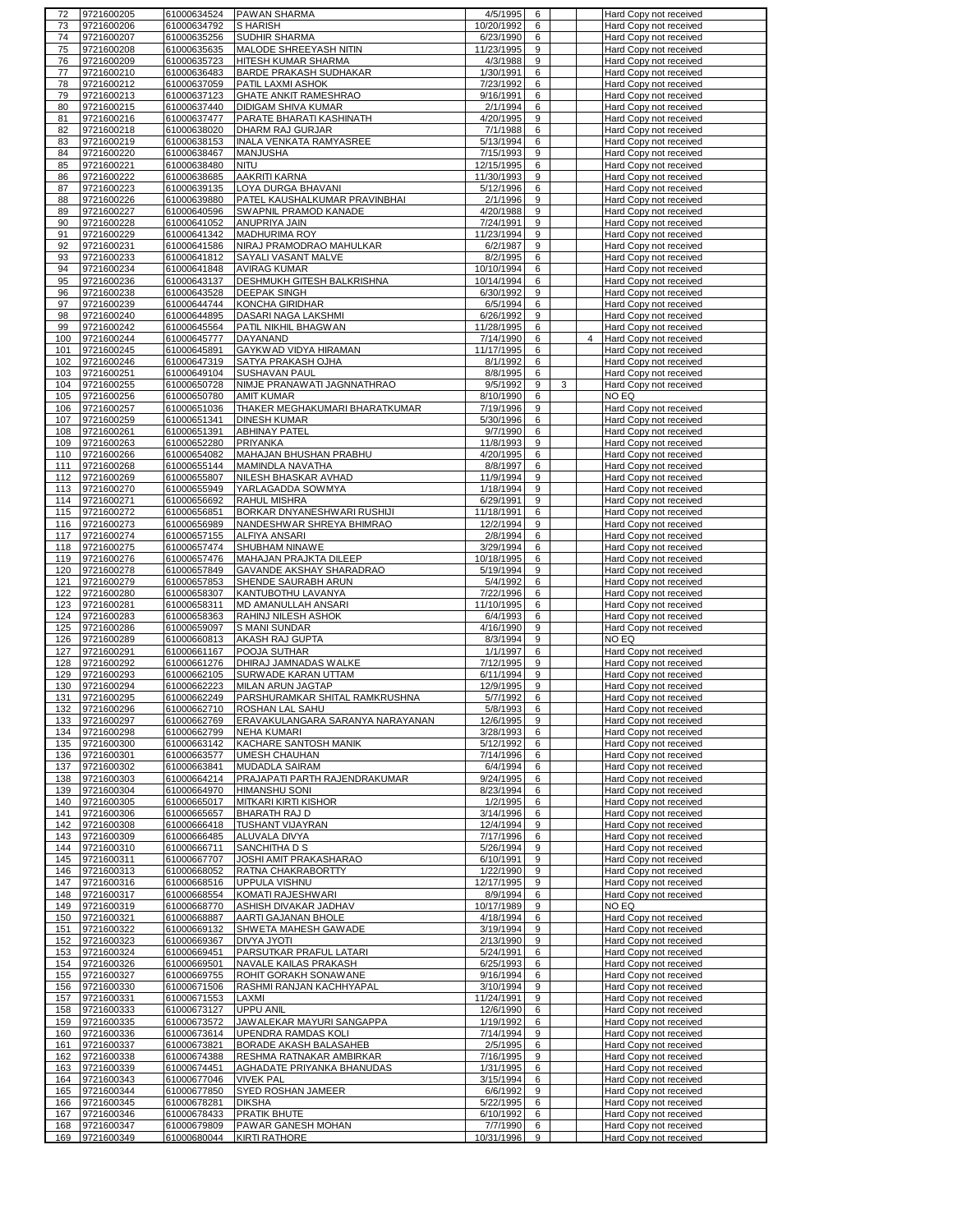| 72         | 9721600205               | 61000634524                | <b>PAWAN SHARMA</b>                        | 4/5/1995<br>6                    | Hard Copy not received                           |
|------------|--------------------------|----------------------------|--------------------------------------------|----------------------------------|--------------------------------------------------|
| 73         | 9721600206               | 61000634792                | S HARISH                                   | 10/20/1992<br>6                  | Hard Copy not received                           |
| 74         | 9721600207               | 61000635256                | SUDHIR SHARMA                              | 6/23/1990<br>6                   | Hard Copy not received                           |
| 75         | 9721600208               | 61000635635                | MALODE SHREEYASH NITIN                     | 11/23/1995<br>9                  | Hard Copy not received                           |
|            | 9721600209               | 61000635723                | HITESH KUMAR SHARMA                        | 9                                | Hard Copy not received                           |
| 76         |                          |                            |                                            | 4/3/1988                         |                                                  |
| 77         | 9721600210               | 61000636483                | <b>BARDE PRAKASH SUDHAKAR</b>              | 1/30/1991<br>6                   | Hard Copy not received                           |
| 78         | 9721600212               | 61000637059                | PATIL LAXMI ASHOK                          | 7/23/1992<br>6                   | Hard Copy not received                           |
| 79         | 9721600213               | 61000637123                | <b>GHATE ANKIT RAMESHRAO</b>               | 9/16/1991<br>6                   | Hard Copy not received                           |
| 80         | 9721600215               | 61000637440                | DIDIGAM SHIVA KUMAR                        | 2/1/1994<br>6                    | Hard Copy not received                           |
| 81         | 9721600216               | 61000637477                | PARATE BHARATI KASHINATH                   | 4/20/1995<br>9                   | Hard Copy not received                           |
| 82         | 9721600218               | 61000638020                | DHARM RAJ GURJAR                           | 7/1/1988<br>6                    | Hard Copy not received                           |
| 83         |                          |                            | <b>INALA VENKATA RAMYASREE</b>             | 5/13/1994<br>6                   |                                                  |
|            | 9721600219               | 61000638153                |                                            |                                  | Hard Copy not received                           |
| 84         | 9721600220               | 61000638467                | MANJUSHA                                   | 9<br>7/15/1993                   | Hard Copy not received                           |
| 85         | 9721600221               | 61000638480                | <b>NITU</b>                                | 12/15/1995<br>6                  | Hard Copy not received                           |
| 86         | 9721600222               | 61000638685                | AAKRITI KARNA                              | 11/30/1993<br>9                  | Hard Copy not received                           |
| 87         | 9721600223               | 61000639135                | LOYA DURGA BHAVANI                         | 5/12/1996<br>6                   | Hard Copy not received                           |
| 88         | 9721600226               | 61000639880                | PATEL KAUSHALKUMAR PRAVINBHAI              | 2/1/1996<br>9                    | Hard Copy not received                           |
| 89         | 9721600227               | 61000640596                | SWAPNIL PRAMOD KANADE                      | 4/20/1988<br>9                   | Hard Copy not received                           |
|            |                          | 61000641052                |                                            | 7/24/1991<br>9                   |                                                  |
| 90         | 9721600228               |                            | ANUPRIYA JAIN                              |                                  | Hard Copy not received                           |
| 91         | 9721600229               | 61000641342                | <b>MADHURIMA ROY</b>                       | 11/23/1994<br>9                  | Hard Copy not received                           |
| 92         | 9721600231               | 61000641586                | NIRAJ PRAMODRAO MAHULKAR                   | 6/2/1987<br>9                    | Hard Copy not received                           |
| 93         | 9721600233               | 61000641812                | SAYALI VASANT MALVE                        | 8/2/1995<br>6                    | Hard Copy not received                           |
| 94         | 9721600234               | 61000641848                | <b>AVIRAG KUMAR</b>                        | 10/10/1994<br>6                  | Hard Copy not received                           |
| 95         | 9721600236               | 61000643137                | DESHMUKH GITESH BALKRISHNA                 | 10/14/1994<br>6                  | Hard Copy not received                           |
| 96         | 9721600238               | 61000643528                | <b>DEEPAK SINGH</b>                        | 6/30/1992<br>9                   | Hard Copy not received                           |
| 97         | 9721600239               | 61000644744                | KONCHA GIRIDHAR                            | 6/5/1994<br>6                    | Hard Copy not received                           |
|            |                          |                            |                                            |                                  |                                                  |
| 98         | 9721600240               | 61000644895                | DASARI NAGA LAKSHMI                        | 6/26/1992<br>9                   | Hard Copy not received                           |
| 99         | 9721600242               | 61000645564                | PATIL NIKHIL BHAGWAN                       | 11/28/1995<br>6                  | Hard Copy not received                           |
| 100        | 9721600244               | 61000645777                | DAYANAND                                   | 7/14/1990<br>6                   | 4<br>Hard Copy not received                      |
| 101        | 9721600245               | 61000645891                | GAYKWAD VIDYA HIRAMAN                      | 11/17/1995<br>6                  | Hard Copy not received                           |
| 102        | 9721600246               | 61000647319                | SATYA PRAKASH OJHA                         | 8/1/1992<br>6                    | Hard Copy not received                           |
| 103        | 9721600251               | 61000649104                | SUSHAVAN PAUL                              | 8/8/1995<br>6                    | Hard Copy not received                           |
| 104        | 9721600255               |                            | NIMJE PRANAWATI JAGNNATHRAO                | 9/5/1992                         |                                                  |
|            |                          | 61000650728                |                                            | 9<br>3                           | Hard Copy not received                           |
| 105        | 9721600256               | 61000650780                | <b>AMIT KUMAR</b>                          | 8/10/1990<br>6                   | NO EQ                                            |
| 106        | 9721600257               | 61000651036                | THAKER MEGHAKUMARI BHARATKUMAR             | 7/19/1996<br>9                   | Hard Copy not received                           |
| 107        | 9721600259               | 61000651341                | <b>DINESH KUMAR</b>                        | 5/30/1996<br>6                   | Hard Copy not received                           |
| 108        | 9721600261               | 61000651391                | <b>ABHINAY PATEL</b>                       | 9/7/1990<br>6                    | Hard Copy not received                           |
| 109        | 9721600263               | 61000652280                | <b>PRIYANKA</b>                            | 11/8/1993<br>9                   | Hard Copy not received                           |
| 110        | 9721600266               | 61000654082                | MAHAJAN BHUSHAN PRABHU                     | 4/20/1995<br>6                   | Hard Copy not received                           |
|            |                          |                            |                                            |                                  |                                                  |
| 111        | 9721600268               | 61000655144                | MAMINDLA NAVATHA                           | 8/8/1997<br>6                    | Hard Copy not received                           |
| 112        | 9721600269               | 61000655807                | NILESH BHASKAR AVHAD                       | 11/9/1994<br>9                   | Hard Copy not received                           |
| 113        | 9721600270               | 61000655949                | YARLAGADDA SOWMYA                          | 9<br>1/18/1994                   | Hard Copy not received                           |
| 114        | 9721600271               | 61000656692                | RAHUL MISHRA                               | 6/29/1991<br>9                   | Hard Copy not received                           |
| 115        | 9721600272               | 61000656851                | BORKAR DNYANESHWARI RUSHIJI                | 11/18/1991<br>6                  | Hard Copy not received                           |
| 116        | 9721600273               | 61000656989                | NANDESHWAR SHREYA BHIMRAO                  | 12/2/1994<br>9                   | Hard Copy not received                           |
|            |                          |                            |                                            |                                  |                                                  |
| 117        | 9721600274               | 61000657155                | <b>ALFIYA ANSARI</b>                       | 2/8/1994<br>6                    | Hard Copy not received                           |
| 118        | 9721600275               | 61000657474                | SHUBHAM NINAWE                             | 3/29/1994<br>6                   | Hard Copy not received                           |
| 119        | 9721600276               | 61000657476                | MAHAJAN PRAJKTA DILEEP                     | 10/18/1995<br>6                  | Hard Copy not received                           |
| 120        | 9721600278               | 61000657849                | GAVANDE AKSHAY SHARADRAO                   | 5/19/1994<br>9                   | Hard Copy not received                           |
|            |                          |                            |                                            |                                  |                                                  |
|            |                          |                            |                                            | 6                                |                                                  |
| 121        | 9721600279               | 61000657853                | SHENDE SAURABH ARUN                        | 5/4/1992                         | Hard Copy not received                           |
| 122        | 9721600280               | 61000658307                | KANTUBOTHU LAVANYA                         | 7/22/1996<br>6                   | Hard Copy not received                           |
| 123        | 9721600281               | 61000658311                | MD AMANULLAH ANSARI                        | 11/10/1995<br>6                  | Hard Copy not received                           |
| 124        | 9721600283               | 61000658363                | RAHINJ NILESH ASHOK                        | 6/4/1993<br>6                    | Hard Copy not received                           |
| 125        | 9721600286               | 61000659097                | <b>S MANI SUNDAR</b>                       | 4/16/1990<br>9                   | Hard Copy not received                           |
| 126        | 9721600289               | 61000660813                | AKASH RAJ GUPTA                            | 8/3/1994<br>9                    | NO EQ                                            |
| 127        | 9721600291               | 61000661167                | POOJA SUTHAR                               | 1/1/1997<br>6                    | Hard Copy not received                           |
| 128        | 9721600292               | 61000661276                | DHIRAJ JAMNADAS WALKE                      | 7/12/1995<br>9                   | Hard Copy not received                           |
|            |                          |                            |                                            |                                  |                                                  |
| 129        | 9721600293               | 61000662105                | SURWADE KARAN UTTAM                        | 6/11/1994<br>9                   | Hard Copy not received                           |
| 130        | 9721600294               | 61000662223                | MILAN ARUN JAGTAP                          | 12/9/1995<br>9                   | Hard Copy not received                           |
| 131        | 9721600295               | 61000662249                | PARSHURAMKAR SHITAL RAMKRUSHNA             | 5/7/1992<br>6                    | Hard Copy not received                           |
| 132        | 9721600296               | 61000662710                | ROSHAN LAL SAHU                            | 5/8/1993<br>6                    | Hard Copy not received                           |
| 133        | 9721600297               | 61000662769                | ERAVAKULANGARA SARANYA NARAYANAN           | 12/6/1995<br>9                   | Hard Copy not received                           |
| 134        | 9721600298               | 61000662799                | <b>NEHA KUMARI</b>                         | 3/28/1993<br>6                   | Hard Copy not received                           |
| 135        | 9721600300               | 61000663142                | KACHARE SANTOSH MANIK                      | 5/12/1992<br>6                   | Hard Copy not received                           |
|            |                          |                            |                                            |                                  |                                                  |
| 136        | 9721600301               | 61000663577                | <b>UMESH CHAUHAN</b>                       | 7/14/1996<br>6                   | Hard Copy not received                           |
| 137        | 9721600302               | 61000663841                | MUDADLA SAIRAM                             | 6/4/1994<br>6                    | Hard Copy not received                           |
| 138        | 9721600303               | 61000664214                | PRAJAPATI PARTH RAJENDRAKUMAR              | 9/24/1995<br>6                   | Hard Copy not received                           |
| 139        | 9721600304               | 61000664970                | HIMANSHU SONI                              | 8/23/1994<br>6                   | Hard Copy not received                           |
| 140        | 9721600305               | 61000665017                | <b>MITKARI KIRTI KISHOR</b>                | 1/2/1995<br>6                    | Hard Copy not received                           |
| 141        | 9721600306               | 61000665657                | BHARATH RAJ D                              | 3/14/1996<br>6                   | Hard Copy not received                           |
| 142        | 9721600308               | 61000666418                | TUSHANT VIJAYRAN                           | 12/4/1994<br>9                   | Hard Copy not received                           |
| 143        | 9721600309               | 61000666485                | ALUVALA DIVYA                              | 7/17/1996<br>6                   | Hard Copy not received                           |
| 144        |                          |                            | SANCHITHA D S                              | 9                                |                                                  |
|            | 9721600310               | 61000666711                |                                            | 5/26/1994                        | Hard Copy not received                           |
| 145        | 9721600311               | 61000667707                | JOSHI AMIT PRAKASHARAO                     | 6/10/1991<br>9                   | Hard Copy not received                           |
| 146        | 9721600313               | 61000668052                | RATNA CHAKRABORTTY                         | 1/22/1990<br>9                   | Hard Copy not received                           |
| 147        | 9721600316               | 61000668516                | UPPULA VISHNU                              | 12/17/1995<br>9                  | Hard Copy not received                           |
| 148        | 9721600317               | 61000668554                | KOMATI RAJESHWARI                          | 8/9/1994<br>6                    | Hard Copy not received                           |
| 149        | 9721600319               | 61000668770                | ASHISH DIVAKAR JADHAV                      | 10/17/1989<br>9                  | NO EQ                                            |
| 150        | 9721600321               | 61000668887                | AARTI GAJANAN BHOLE                        | 4/18/1994<br>6                   | Hard Copy not received                           |
|            |                          |                            |                                            |                                  |                                                  |
| 151        | 9721600322               | 61000669132                | SHWETA MAHESH GAWADE                       | 3/19/1994<br>9                   | Hard Copy not received                           |
| 152        | 9721600323               | 61000669367                | DIVYA JYOTI                                | 2/13/1990<br>9                   | Hard Copy not received                           |
| 153        | 9721600324               | 61000669451                | PARSUTKAR PRAFUL LATARI                    | 5/24/1991<br>6                   | Hard Copy not received                           |
| 154        | 9721600326               | 61000669501                | NAVALE KAILAS PRAKASH                      | 6/25/1993<br>6                   | Hard Copy not received                           |
| 155        | 9721600327               | 61000669755                | ROHIT GORAKH SONAWANE                      | 9/16/1994<br>6                   | Hard Copy not received                           |
| 156        | 9721600330               | 61000671506                | RASHMI RANJAN KACHHYAPAL                   | 3/10/1994<br>9                   | Hard Copy not received                           |
| 157        | 9721600331               | 61000671553                | LAXMI                                      | 11/24/1991<br>9                  | Hard Copy not received                           |
|            |                          |                            |                                            |                                  |                                                  |
| 158        | 9721600333               | 61000673127                | <b>UPPU ANIL</b>                           | 12/6/1990<br>6                   | Hard Copy not received                           |
| 159        | 9721600335               | 61000673572                | JAWALEKAR MAYURI SANGAPPA                  | 1/19/1992<br>6                   | Hard Copy not received                           |
| 160        | 9721600336               | 61000673614                | UPENDRA RAMDAS KOLI                        | 7/14/1994<br>9                   | Hard Copy not received                           |
| 161        | 9721600337               | 61000673821                | BORADE AKASH BALASAHEB                     | 2/5/1995<br>6                    | Hard Copy not received                           |
| 162        | 9721600338               | 61000674388                | RESHMA RATNAKAR AMBIRKAR                   | 7/16/1995<br>9                   | Hard Copy not received                           |
| 163        | 9721600339               | 61000674451                | AGHADATE PRIYANKA BHANUDAS                 | 1/31/1995<br>6                   | Hard Copy not received                           |
| 164        | 9721600343               | 61000677046                | <b>VIVEK PAL</b>                           | 3/15/1994<br>6                   | Hard Copy not received                           |
|            |                          |                            |                                            |                                  |                                                  |
| 165        | 9721600344               | 61000677850                | SYED ROSHAN JAMEER                         | 6/6/1992<br>9                    | Hard Copy not received                           |
| 166        | 9721600345               | 61000678281                | <b>DIKSHA</b>                              | 5/22/1995<br>6                   | Hard Copy not received                           |
| 167        | 9721600346               | 61000678433                | <b>PRATIK BHUTE</b>                        | 6/10/1992<br>6                   | Hard Copy not received                           |
| 168<br>169 | 9721600347<br>9721600349 | 61000679809<br>61000680044 | PAWAR GANESH MOHAN<br><b>KIRTI RATHORE</b> | 7/7/1990<br>6<br>10/31/1996<br>9 | Hard Copy not received<br>Hard Copy not received |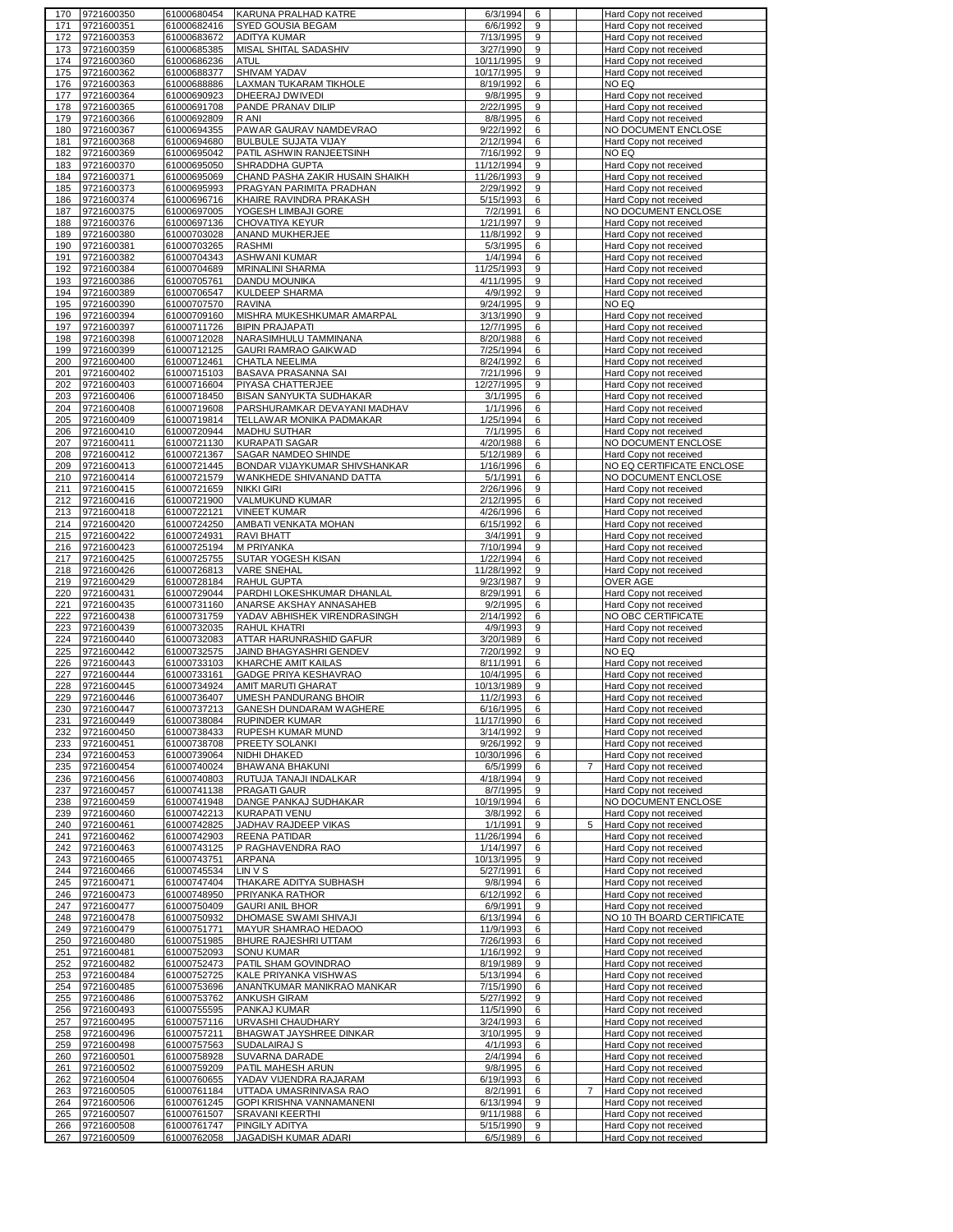|            | 9721600350               | 61000680454                | KARUNA PRALHAD KATRE                                           | 6/3/1994<br>6                      | Hard Copy not received                                  |
|------------|--------------------------|----------------------------|----------------------------------------------------------------|------------------------------------|---------------------------------------------------------|
| 171        | 9721600351               | 61000682416                | <b>SYED GOUSIA BEGAM</b>                                       | 6/6/1992<br>9                      | Hard Copy not received                                  |
| 172        | 9721600353               | 61000683672                | ADITYA KUMAR                                                   | 7/13/1995<br>9                     | Hard Copy not received                                  |
| 173        | 9721600359<br>9721600360 | 61000685385<br>61000686236 | MISAL SHITAL SADASHIV                                          | 3/27/1990<br>9                     | Hard Copy not received                                  |
| 174<br>175 | 9721600362               | 61000688377                | <b>ATUL</b><br>SHIVAM YADAV                                    | 10/11/1995<br>9<br>10/17/1995<br>9 | Hard Copy not received<br>Hard Copy not received        |
| 176        | 9721600363               | 61000688886                | <b>LAXMAN TUKARAM TIKHOLE</b>                                  | 8/19/1992<br>6                     | NO EQ                                                   |
| 177        | 9721600364               | 61000690923                | DHEERAJ DWIVEDI                                                | 9/8/1995<br>9                      | Hard Copy not received                                  |
| 178        | 9721600365               | 61000691708                | PANDE PRANAV DILIP                                             | 2/22/1995<br>9                     | Hard Copy not received                                  |
| 179        | 9721600366               | 61000692809                | R ANI                                                          | 8/8/1995<br>6                      | Hard Copy not received                                  |
| 180        | 9721600367               | 61000694355                | PAWAR GAURAV NAMDEVRAO                                         | 9/22/1992<br>6                     | NO DOCUMENT ENCLOSE                                     |
| 181        | 9721600368               | 61000694680                | <b>BULBULE SUJATA VIJAY</b>                                    | 2/12/1994<br>6                     | Hard Copy not received                                  |
| 182<br>183 | 9721600369<br>9721600370 | 61000695042<br>61000695050 | PATIL ASHWIN RANJEETSINH<br>SHRADDHA GUPTA                     | 7/16/1992<br>9<br>11/12/1994<br>9  | NO EQ<br>Hard Copy not received                         |
| 184        | 9721600371               | 61000695069                | CHAND PASHA ZAKIR HUSAIN SHAIKH                                | 11/26/1993<br>9                    | Hard Copy not received                                  |
| 185        | 9721600373               | 61000695993                | PRAGYAN PARIMITA PRADHAN                                       | 2/29/1992<br>9                     | Hard Copy not received                                  |
| 186        | 9721600374               | 61000696716                | KHAIRE RAVINDRA PRAKASH                                        | 6<br>5/15/1993                     | Hard Copy not received                                  |
| 187        | 9721600375               | 61000697005                | YOGESH LIMBAJI GORE                                            | 7/2/1991<br>6                      | NO DOCUMENT ENCLOSE                                     |
| 188        | 9721600376               | 61000697136                | CHOVATIYA KEYUR                                                | 1/21/1997<br>9                     | Hard Copy not received                                  |
| 189<br>190 | 9721600380<br>9721600381 | 61000703028<br>61000703265 | ANAND MUKHERJEE<br><b>RASHMI</b>                               | 11/8/1992<br>9<br>6<br>5/3/1995    | Hard Copy not received<br>Hard Copy not received        |
| 191        | 9721600382               | 61000704343                | <b>ASHWANI KUMAR</b>                                           | 1/4/1994<br>6                      | Hard Copy not received                                  |
| 192        | 9721600384               | 61000704689                | <b>MRINALINI SHARMA</b>                                        | 11/25/1993<br>9                    | Hard Copy not received                                  |
| 193        | 9721600386               | 61000705761                | DANDU MOUNIKA                                                  | 4/11/1995<br>9                     | Hard Copy not received                                  |
| 194        | 9721600389               | 61000706547                | <b>KULDEEP SHARMA</b>                                          | 9<br>4/9/1992                      | Hard Copy not received                                  |
| 195        | 9721600390               | 61000707570                | <b>RAVINA</b>                                                  | 9/24/1995<br>9                     | NO EQ                                                   |
| 196<br>197 | 9721600394<br>9721600397 | 61000709160<br>61000711726 | MISHRA MUKESHKUMAR AMARPAL<br><b>BIPIN PRAJAPATI</b>           | 3/13/1990<br>9<br>12/7/1995<br>6   | Hard Copy not received<br>Hard Copy not received        |
| 198        | 9721600398               | 61000712028                | NARASIMHULU TAMMINANA                                          | 8/20/1988<br>6                     | Hard Copy not received                                  |
| 199        | 9721600399               | 61000712125                | GAURI RAMRAO GAIKWAD                                           | 7/25/1994<br>6                     | Hard Copy not received                                  |
| 200        | 9721600400               | 61000712461                | CHATLA NEELIMA                                                 | 8/24/1992<br>6                     | Hard Copy not received                                  |
| 201        | 9721600402               | 61000715103                | BASAVA PRASANNA SAI                                            | 7/21/1996<br>9                     | Hard Copy not received                                  |
| 202        | 9721600403               | 61000716604                | PIYASA CHATTERJEE                                              | 12/27/1995<br>9                    | Hard Copy not received                                  |
| 203<br>204 | 9721600406<br>9721600408 | 61000718450<br>61000719608 | <b>BISAN SANYUKTA SUDHAKAR</b><br>PARSHURAMKAR DEVAYANI MADHAV | 3/1/1995<br>6<br>1/1/1996<br>6     | Hard Copy not received<br>Hard Copy not received        |
| 205        | 9721600409               | 61000719814                | TELLAWAR MONIKA PADMAKAR                                       | 1/25/1994<br>6                     | Hard Copy not received                                  |
| 206        | 9721600410               | 61000720944                | <b>MADHU SUTHAR</b>                                            | 7/1/1995<br>6                      | Hard Copy not received                                  |
| 207        | 9721600411               | 61000721130                | <b>KURAPATI SAGAR</b>                                          | 4/20/1988<br>6                     | NO DOCUMENT ENCLOSE                                     |
| 208        | 9721600412               | 61000721367                | SAGAR NAMDEO SHINDE                                            | 5/12/1989<br>6                     | Hard Copy not received                                  |
| 209        | 9721600413               | 61000721445                | BONDAR VIJAYKUMAR SHIVSHANKAR                                  | 1/16/1996<br>6                     | NO EQ CERTIFICATE ENCLOSE                               |
| 210<br>211 | 9721600414<br>9721600415 | 61000721579<br>61000721659 | WANKHEDE SHIVANAND DATTA<br><b>NIKKI GIRI</b>                  | 5/1/1991<br>6<br>2/26/1996<br>9    | NO DOCUMENT ENCLOSE                                     |
| 212        | 9721600416               | 61000721900                | VALMUKUND KUMAR                                                | 2/12/1995<br>6                     | Hard Copy not received<br><b>Hard Copy not received</b> |
| 213        | 9721600418               | 61000722121                | <b>VINEET KUMAR</b>                                            | 4/26/1996<br>6                     | Hard Copy not received                                  |
| 214        | 9721600420               | 61000724250                | AMBATI VENKATA MOHAN                                           | 6/15/1992<br>6                     | Hard Copy not received                                  |
| 215        | 9721600422               | 61000724931                | <b>RAVI BHATT</b>                                              | 9<br>3/4/1991                      | Hard Copy not received                                  |
| 216        | 9721600423               | 61000725194                | <b>M PRIYANKA</b>                                              | 7/10/1994<br>9                     | Hard Copy not received                                  |
| 217        | 9721600425               | 61000725755                | SUTAR YOGESH KISAN                                             | 1/22/1994<br>6<br>9                | Hard Copy not received                                  |
| 218<br>219 | 9721600426<br>9721600429 | 61000726813<br>61000728184 | <b>VARE SNEHAL</b><br>RAHUL GUPTA                              | 11/28/1992<br>9/23/1987<br>9       | Hard Copy not received<br>OVER AGE                      |
| 220        | 9721600431               | 61000729044                | PARDHI LOKESHKUMAR DHANLAL                                     | 8/29/1991<br>6                     | Hard Copy not received                                  |
| 221        | 9721600435               | 61000731160                | ANARSE AKSHAY ANNASAHEB                                        | 9/2/1995<br>6                      | Hard Copy not received                                  |
| 222        | 9721600438               | 61000731759                | YADAV ABHISHEK VIRENDRASINGH                                   | 2/14/1992<br>6                     | NO OBC CERTIFICATE                                      |
| 223        | 9721600439               | 61000732035                | <b>RAHUL KHATRI</b>                                            | 4/9/1993<br>9                      | Hard Copy not received                                  |
| 224        | 9721600440               | 61000732083                | ATTAR HARUNRASHID GAFUR                                        | 3/20/1989<br>6                     | Hard Copy not received                                  |
| 225<br>226 | 9721600442<br>9721600443 | 61000732575<br>61000733103 | JAIND BHAGYASHRI GENDEV<br>KHARCHE AMIT KAILAS                 | 7/20/1992<br>9<br>8/11/1991<br>6   | NO EQ<br>Hard Copy not received                         |
| 227        | 9721600444               | 61000733161                | <b>GADGE PRIYA KESHAVRAO</b>                                   | 10/4/1995<br>6                     | Hard Copy not received                                  |
| 228        | 9721600445               | 61000734924                | AMIT MARUTI GHARAT                                             | 10/13/1989<br>9                    |                                                         |
| 229        |                          |                            |                                                                |                                    | Hard Copy not received                                  |
| 230        | 9721600446               | 61000736407                | UMESH PANDURANG BHOIR                                          | 11/2/1993<br>6                     | Hard Copy not received                                  |
| 231        | 9721600447               | 61000737213                | <b>GANESH DUNDARAM WAGHERE</b>                                 | 6/16/1995<br>6                     | Hard Copy not received                                  |
|            | 9721600449               | 61000738084                | <b>RUPINDER KUMAR</b>                                          | 11/17/1990<br>6                    | Hard Copy not received                                  |
| 232        | 9721600450               | 61000738433                | RUPESH KUMAR MUND                                              | 3/14/1992<br>9                     | Hard Copy not received                                  |
| 233        | 9721600451               | 61000738708                | PREETY SOLANKI                                                 | 9/26/1992<br>9                     | Hard Copy not received                                  |
| 234<br>235 | 9721600453<br>9721600454 | 61000739064<br>61000740024 | NIDHI DHAKED<br>BHAWANA BHAKUNI                                | 10/30/1996<br>6<br>6/5/1999<br>6   | Hard Copy not received<br>Hard Copy not received<br>7   |
| 236        | 9721600456               | 61000740803                | RUTUJA TANAJI INDALKAR                                         | 4/18/1994<br>9                     | Hard Copy not received                                  |
| 237        | 9721600457               | 61000741138                | PRAGATI GAUR                                                   | 8/7/1995<br>9                      | Hard Copy not received                                  |
| 238        | 9721600459               | 61000741948                | DANGE PANKAJ SUDHAKAR                                          | 10/19/1994<br>6                    | NO DOCUMENT ENCLOSE                                     |
| 239        | 9721600460               | 61000742213                | <b>KURAPATI VENU</b>                                           | 3/8/1992<br>6                      | Hard Copy not received                                  |
| 240<br>241 | 9721600461<br>9721600462 | 61000742825<br>61000742903 | JADHAV RAJDEEP VIKAS<br><b>REENA PATIDAR</b>                   | 1/1/1991<br>9<br>11/26/1994<br>6   | 5<br>Hard Copy not received<br>Hard Copy not received   |
| 242        | 9721600463               | 61000743125                | P RAGHAVENDRA RAO                                              | 1/14/1997<br>6                     | Hard Copy not received                                  |
| 243        | 9721600465               | 61000743751                | ARPANA                                                         | 10/13/1995<br>9                    | Hard Copy not received                                  |
| 244        | 9721600466               | 61000745534                | LIN V S                                                        | 5/27/1991<br>6                     | Hard Copy not received                                  |
| 245        | 9721600471               | 61000747404                | THAKARE ADITYA SUBHASH                                         | 9/8/1994<br>6                      | Hard Copy not received                                  |
| 246        | 9721600473               | 61000748950                | PRIYANKA RATHOR                                                | 6/12/1992<br>6                     | Hard Copy not received                                  |
| 247<br>248 | 9721600477<br>9721600478 | 61000750409<br>61000750932 | <b>GAURI ANIL BHOR</b><br>DHOMASE SWAMI SHIVAJI                | 6/9/1991<br>9<br>6/13/1994<br>6    | Hard Copy not received<br>NO 10 TH BOARD CERTIFICATE    |
| 249        | 9721600479               | 61000751771                | MAYUR SHAMRAO HEDAOO                                           | 11/9/1993<br>6                     | Hard Copy not received                                  |
| 250        | 9721600480               | 61000751985                | BHURE RAJESHRI UTTAM                                           | 7/26/1993<br>6                     | Hard Copy not received                                  |
| 251        | 9721600481               | 61000752093                | <b>SONU KUMAR</b>                                              | 1/16/1992<br>9                     | Hard Copy not received                                  |
| 252        | 9721600482               | 61000752473                | PATIL SHAM GOVINDRAO                                           | 8/19/1989<br>9                     | Hard Copy not received                                  |
| 253<br>254 | 9721600484               | 61000752725                | KALE PRIYANKA VISHWAS                                          | 5/13/1994<br>6<br>6                | Hard Copy not received                                  |
| 255        | 9721600485<br>9721600486 | 61000753696<br>61000753762 | ANANTKUMAR MANIKRAO MANKAR<br>ANKUSH GIRAM                     | 7/15/1990<br>5/27/1992<br>9        | Hard Copy not received<br>Hard Copy not received        |
| 256        | 9721600493               | 61000755595                | PANKAJ KUMAR                                                   | 11/5/1990<br>6                     | Hard Copy not received                                  |
| 257        | 9721600495               | 61000757116                | URVASHI CHAUDHARY                                              | 3/24/1993<br>6                     | Hard Copy not received                                  |
| 258        | 9721600496               | 61000757211                | BHAGWAT JAYSHREE DINKAR                                        | 3/10/1995<br>9                     | Hard Copy not received                                  |
| 259        | 9721600498               | 61000757563                | SUDALAIRAJ S                                                   | 4/1/1993<br>6                      | Hard Copy not received                                  |
| 260        | 9721600501               | 61000758928                | SUVARNA DARADE                                                 | 2/4/1994<br>6<br>6                 | Hard Copy not received                                  |
| 261<br>262 | 9721600502<br>9721600504 | 61000759209<br>61000760655 | PATIL MAHESH ARUN<br>YADAV VIJENDRA RAJARAM                    | 9/8/1995<br>6/19/1993<br>6         | Hard Copy not received<br>Hard Copy not received        |
| 263        | 9721600505               | 61000761184                | UTTADA UMASRINIVASA RAO                                        | 8/2/1991<br>6                      | $\overline{7}$<br>Hard Copy not received                |
| 264        | 9721600506               | 61000761245                | GOPI KRISHNA VANNAMANENI                                       | 6/13/1994<br>9                     | Hard Copy not received                                  |
| 265        | 9721600507               | 61000761507                | SRAVANI KEERTHI                                                | 9/11/1988<br>6                     | Hard Copy not received                                  |
| 266<br>267 | 9721600508<br>9721600509 | 61000761747<br>61000762058 | PINGILY ADITYA<br><b>JAGADISH KUMAR ADARI</b>                  | 5/15/1990<br>9<br>6/5/1989<br>6    | Hard Copy not received<br>Hard Copy not received        |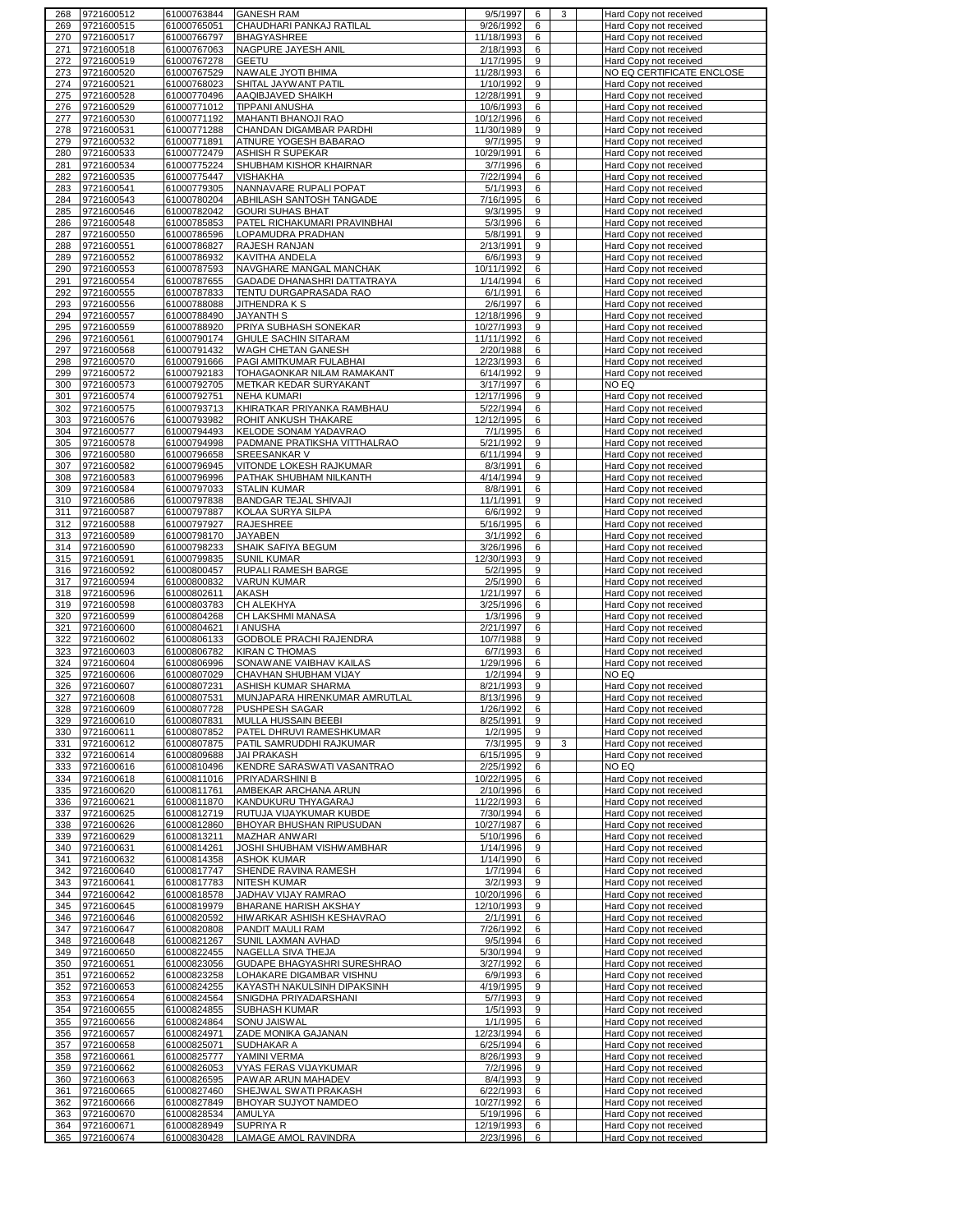| 268        | 9721600512 | 61000763844 | <b>GANESH RAM</b>             | 9/5/1997   | 6 | 3 | Hard Copy not received    |
|------------|------------|-------------|-------------------------------|------------|---|---|---------------------------|
| 269        | 9721600515 | 61000765051 | CHAUDHARI PANKAJ RATILAL      | 9/26/1992  | 6 |   | Hard Copy not received    |
| 270        | 9721600517 | 61000766797 | <b>BHAGYASHREE</b>            | 11/18/1993 | 6 |   | Hard Copy not received    |
| 271        | 9721600518 | 61000767063 | NAGPURE JAYESH ANIL           | 2/18/1993  | 6 |   | Hard Copy not received    |
| 272        | 9721600519 | 61000767278 | GEETU                         | 1/17/1995  | 9 |   | Hard Copy not received    |
| 273        | 9721600520 | 61000767529 | NAWALE JYOTI BHIMA            | 11/28/1993 | 6 |   | NO EQ CERTIFICATE ENCLOSE |
|            | 9721600521 |             | SHITAL JAYWANT PATIL          | 1/10/1992  | 9 |   |                           |
| 274        |            | 61000768023 |                               |            |   |   | Hard Copy not received    |
| 275        | 9721600528 | 61000770496 | AAQIBJAVED SHAIKH             | 12/28/1991 | 9 |   | Hard Copy not received    |
| 276        | 9721600529 | 61000771012 | <b>TIPPANI ANUSHA</b>         | 10/6/1993  | 6 |   | Hard Copy not received    |
| 277        | 9721600530 | 61000771192 | MAHANTI BHANOJI RAO           | 10/12/1996 | 6 |   | Hard Copy not received    |
| 278        | 9721600531 | 61000771288 | CHANDAN DIGAMBAR PARDHI       | 11/30/1989 | 9 |   | Hard Copy not received    |
| 279        | 9721600532 | 61000771891 | ATNURE YOGESH BABARAO         | 9/7/1995   | 9 |   | Hard Copy not received    |
| 280        | 9721600533 | 61000772479 | <b>ASHISH R SUPEKAR</b>       | 10/29/1991 | 6 |   | Hard Copy not received    |
| 281        | 9721600534 | 61000775224 | SHUBHAM KISHOR KHAIRNAR       |            | 6 |   | Hard Copy not received    |
|            |            |             |                               | 3/7/1996   |   |   |                           |
| 282        | 9721600535 | 61000775447 | <b>VISHAKHA</b>               | 7/22/1994  | 6 |   | Hard Copy not received    |
| 283        | 9721600541 | 61000779305 | NANNAVARE RUPALI POPAT        | 5/1/1993   | 6 |   | Hard Copy not received    |
| 284        | 9721600543 | 61000780204 | ABHILASH SANTOSH TANGADE      | 7/16/1995  | 6 |   | Hard Copy not received    |
| 285        | 9721600546 | 61000782042 | <b>GOURI SUHAS BHAT</b>       | 9/3/1995   | 9 |   | Hard Copy not received    |
| 286        | 9721600548 | 61000785853 | PATEL RICHAKUMARI PRAVINBHAI  | 5/3/1996   | 6 |   | Hard Copy not received    |
| 287        | 9721600550 | 61000786596 | LOPAMUDRA PRADHAN             | 5/8/1991   | 9 |   | Hard Copy not received    |
| 288        | 9721600551 | 61000786827 | RAJESH RANJAN                 | 2/13/1991  | 9 |   | Hard Copy not received    |
|            |            |             |                               |            | 9 |   |                           |
| 289        | 9721600552 | 61000786932 | KAVITHA ANDELA                | 6/6/1993   |   |   | Hard Copy not received    |
| 290        | 9721600553 | 61000787593 | NAVGHARE MANGAL MANCHAK       | 10/11/1992 | 6 |   | Hard Copy not received    |
| 291        | 9721600554 | 61000787655 | GADADE DHANASHRI DATTATRAYA   | 1/14/1994  | 6 |   | Hard Copy not received    |
| 292        | 9721600555 | 61000787833 | TENTU DURGAPRASADA RAO        | 6/1/1991   | 6 |   | Hard Copy not received    |
| 293        | 9721600556 | 61000788088 | JITHENDRA K S                 | 2/6/1997   | 6 |   | Hard Copy not received    |
| 294        | 9721600557 | 61000788490 | <b>JAYANTH S</b>              | 12/18/1996 | 9 |   | Hard Copy not received    |
| 295        | 9721600559 | 61000788920 | PRIYA SUBHASH SONEKAR         | 10/27/1993 | 9 |   | Hard Copy not received    |
| 296        |            | 61000790174 | <b>GHULE SACHIN SITARAM</b>   |            | 6 |   |                           |
|            | 9721600561 |             |                               | 11/11/1992 |   |   | Hard Copy not received    |
| 297        | 9721600568 | 61000791432 | WAGH CHETAN GANESH            | 2/20/1988  | 6 |   | Hard Copy not received    |
| 298        | 9721600570 | 61000791666 | PAGI AMITKUMAR FULABHAI       | 12/23/1993 | 6 |   | Hard Copy not received    |
| 299        | 9721600572 | 61000792183 | TOHAGAONKAR NILAM RAMAKANT    | 6/14/1992  | 9 |   | Hard Copy not received    |
| 300        | 9721600573 | 61000792705 | METKAR KEDAR SURYAKANT        | 3/17/1997  | 6 |   | NO EQ                     |
| 301        | 9721600574 | 61000792751 | <b>NEHA KUMARI</b>            | 12/17/1996 | 9 |   | Hard Copy not received    |
| 302        | 9721600575 | 61000793713 | KHIRATKAR PRIYANKA RAMBHAU    | 5/22/1994  | 6 |   | Hard Copy not received    |
|            | 9721600576 | 61000793982 | ROHIT ANKUSH THAKARE          | 12/12/1995 | 6 |   |                           |
| 303        |            |             |                               |            |   |   | Hard Copy not received    |
| 304        | 9721600577 | 61000794493 | KELODE SONAM YADAVRAO         | 7/1/1995   | 6 |   | Hard Copy not received    |
| 305        | 9721600578 | 61000794998 | PADMANE PRATIKSHA VITTHALRAO  | 5/21/1992  | 9 |   | Hard Copy not received    |
| 306        | 9721600580 | 61000796658 | <b>SREESANKAR V</b>           | 6/11/1994  | 9 |   | Hard Copy not received    |
| 307        | 9721600582 | 61000796945 | VITONDE LOKESH RAJKUMAR       | 8/3/1991   | 6 |   | Hard Copy not received    |
| 308        | 9721600583 | 61000796996 | PATHAK SHUBHAM NILKANTH       | 4/14/1994  | 9 |   | Hard Copy not received    |
| 309        | 9721600584 | 61000797033 | <b>STALIN KUMAR</b>           | 8/8/1991   | 6 |   |                           |
|            |            |             |                               |            |   |   | Hard Copy not received    |
| 310        | 9721600586 | 61000797838 | <b>BANDGAR TEJAL SHIVAJI</b>  | 11/1/1991  | 9 |   | Hard Copy not received    |
| 311        | 9721600587 | 61000797887 | KOLAA SURYA SILPA             | 6/6/1992   | 9 |   | Hard Copy not received    |
| 312        | 9721600588 | 61000797927 | <b>RAJESHREE</b>              | 5/16/1995  | 6 |   | Hard Copy not received    |
| 313        | 9721600589 | 61000798170 | <b>JAYABEN</b>                | 3/1/1992   | 6 |   | Hard Copy not received    |
| 314        | 9721600590 | 61000798233 | SHAIK SAFIYA BEGUM            | 3/26/1996  | 6 |   | Hard Copy not received    |
| 315        | 9721600591 | 61000799835 | <b>SUNIL KUMAR</b>            | 12/30/1993 | 9 |   | Hard Copy not received    |
|            |            |             |                               |            |   |   |                           |
| 316        | 9721600592 | 61000800457 | RUPALI RAMESH BARGE           | 5/2/1995   | 9 |   | Hard Copy not received    |
| 317        | 9721600594 | 61000800832 | <b>VARUN KUMAR</b>            | 2/5/1990   | 6 |   | Hard Copy not received    |
| 318        | 9721600596 | 61000802611 | <b>AKASH</b>                  | 1/21/1997  | 6 |   | Hard Copy not received    |
| 319        | 9721600598 | 61000803783 | CH ALEKHYA                    | 3/25/1996  | 6 |   | Hard Copy not received    |
| 320        | 9721600599 | 61000804268 | CH LAKSHMI MANASA             | 1/3/1996   | 9 |   | Hard Copy not received    |
| 321        | 9721600600 | 61000804621 | <b>I ANUSHA</b>               | 2/21/1997  | 6 |   | Hard Copy not received    |
| 322        | 9721600602 | 61000806133 | GODBOLE PRACHI RAJENDRA       | 10/7/1988  | 9 |   | Hard Copy not received    |
|            |            |             |                               |            |   |   |                           |
| 323        | 9721600603 | 61000806782 | <b>KIRAN C THOMAS</b>         | 6/7/1993   | 6 |   | Hard Copy not received    |
| 324        | 9721600604 | 61000806996 | SONAWANE VAIBHAV KAILAS       | 1/29/1996  | 6 |   | Hard Copy not received    |
| 325        | 9721600606 | 61000807029 | CHAVHAN SHUBHAM VIJAY         | 1/2/1994   | 9 |   | NO EQ                     |
| 326        | 9721600607 | 61000807231 | ASHISH KUMAR SHARMA           | 8/21/1993  | 9 |   | Hard Copy not received    |
| 327        | 9721600608 | 61000807531 | MUNJAPARA HIRENKUMAR AMRUTLAL | 8/13/1996  | 9 |   | Hard Copy not received    |
| 328        | 9721600609 | 61000807728 | PUSHPESH SAGAR                | 1/26/1992  | 6 |   | Hard Copy not received    |
| 329        | 9721600610 | 61000807831 | MULLA HUSSAIN BEEBI           | 8/25/1991  | 9 |   | Hard Copy not received    |
|            |            | 61000807852 |                               |            |   |   |                           |
| 330        | 9721600611 |             | PATEL DHRUVI RAMESHKUMAR      | 1/2/1995   | 9 |   | Hard Copy not received    |
| 331        | 9721600612 | 61000807875 | PATIL SAMRUDDHI RAJKUMAR      | 7/3/1995   | 9 | 3 | Hard Copy not received    |
| 332        | 9721600614 | 61000809688 | <b>JAI PRAKASH</b>            | 6/15/1995  | 9 |   | Hard Copy not received    |
| 333        | 9721600616 | 61000810496 | KENDRE SARASWATI VASANTRAO    | 2/25/1992  | 6 |   | NO EQ                     |
| 334        | 9721600618 | 61000811016 | PRIYADARSHINI B               | 10/22/1995 | 6 |   | Hard Copy not received    |
| 335        | 9721600620 | 61000811761 | AMBEKAR ARCHANA ARUN          | 2/10/1996  | 6 |   | Hard Copy not received    |
| 336        | 9721600621 | 61000811870 | KANDUKURU THYAGARAJ           | 11/22/1993 | 6 |   | Hard Copy not received    |
| 337        | 9721600625 | 61000812719 | RUTUJA VIJAYKUMAR KUBDE       | 7/30/1994  | 6 |   | Hard Copy not received    |
| 338        | 9721600626 | 61000812860 | BHOYAR BHUSHAN RIPUSUDAN      | 10/27/1987 | 6 |   | Hard Copy not received    |
|            | 9721600629 |             |                               |            | 6 |   | Hard Copy not received    |
| 339        |            | 61000813211 | MAZHAR ANWARI                 | 5/10/1996  |   |   |                           |
| 340        | 9721600631 | 61000814261 | JOSHI SHUBHAM VISHWAMBHAR     | 1/14/1996  | 9 |   | Hard Copy not received    |
| 341        | 9721600632 | 61000814358 | <b>ASHOK KUMAR</b>            | 1/14/1990  | 6 |   | Hard Copy not received    |
| 342        | 9721600640 | 61000817747 | SHENDE RAVINA RAMESH          | 1/7/1994   | 6 |   | Hard Copy not received    |
| 343        | 9721600641 | 61000817783 | <b>NITESH KUMAR</b>           | 3/2/1993   | 9 |   | Hard Copy not received    |
| 344        | 9721600642 | 61000818578 | JADHAV VIJAY RAMRAO           | 10/20/1996 | 6 |   | Hard Copy not received    |
| 345        | 9721600645 | 61000819979 | <b>BHARANE HARISH AKSHAY</b>  | 12/10/1993 | 9 |   | Hard Copy not received    |
| 346        | 9721600646 | 61000820592 | HIWARKAR ASHISH KESHAVRAO     | 2/1/1991   | 6 |   | Hard Copy not received    |
|            |            |             |                               |            | 6 |   | Hard Copy not received    |
| 347        | 9721600647 | 61000820808 | PANDIT MAULI RAM              | 7/26/1992  |   |   |                           |
| 348        | 9721600648 | 61000821267 | SUNIL LAXMAN AVHAD            | 9/5/1994   | 6 |   | Hard Copy not received    |
| 349        | 9721600650 | 61000822455 | NAGELLA SIVA THEJA            | 5/30/1994  | 9 |   | Hard Copy not received    |
| 350        | 9721600651 | 61000823056 | GUDAPE BHAGYASHRI SURESHRAO   | 3/27/1992  | 6 |   | Hard Copy not received    |
| 351        | 9721600652 | 61000823258 | LOHAKARE DIGAMBAR VISHNU      | 6/9/1993   | 6 |   | Hard Copy not received    |
| 352        | 9721600653 | 61000824255 | KAYASTH NAKULSINH DIPAKSINH   | 4/19/1995  | 9 |   | Hard Copy not received    |
| 353        | 9721600654 | 61000824564 | SNIGDHA PRIYADARSHANI         | 5/7/1993   | 9 |   | Hard Copy not received    |
| 354        | 9721600655 | 61000824855 | SUBHASH KUMAR                 | 1/5/1993   | 9 |   | Hard Copy not received    |
|            |            |             |                               |            |   |   |                           |
| 355        | 9721600656 | 61000824864 | SONU JAISWAL                  | 1/1/1995   | 6 |   | Hard Copy not received    |
| 356        | 9721600657 | 61000824971 | ZADE MONIKA GAJANAN           | 12/23/1994 | 6 |   | Hard Copy not received    |
| 357        | 9721600658 | 61000825071 | SUDHAKAR A                    | 6/25/1994  | 6 |   | Hard Copy not received    |
| 358        | 9721600661 | 61000825777 | YAMINI VERMA                  | 8/26/1993  | 9 |   | Hard Copy not received    |
| 359        | 9721600662 | 61000826053 | <b>VYAS FERAS VIJAYKUMAR</b>  | 7/2/1996   | 9 |   | Hard Copy not received    |
| 360        | 9721600663 | 61000826595 | PAWAR ARUN MAHADEV            | 8/4/1993   | 9 |   | Hard Copy not received    |
| 361        | 9721600665 | 61000827460 | SHEJWAL SWATI PRAKASH         | 6/22/1993  | 6 |   | Hard Copy not received    |
|            |            |             |                               |            |   |   |                           |
| 362        | 9721600666 | 61000827849 | BHOYAR SUJYOT NAMDEO          | 10/27/1992 | 6 |   | Hard Copy not received    |
| 363        | 9721600670 | 61000828534 | AMULYA                        | 5/19/1996  | 6 |   | Hard Copy not received    |
|            | 9721600671 | 61000828949 | SUPRIYA R                     | 12/19/1993 | 6 |   | Hard Copy not received    |
| 364<br>365 | 9721600674 | 61000830428 | LAMAGE AMOL RAVINDRA          | 2/23/1996  | 6 |   | Hard Copy not received    |